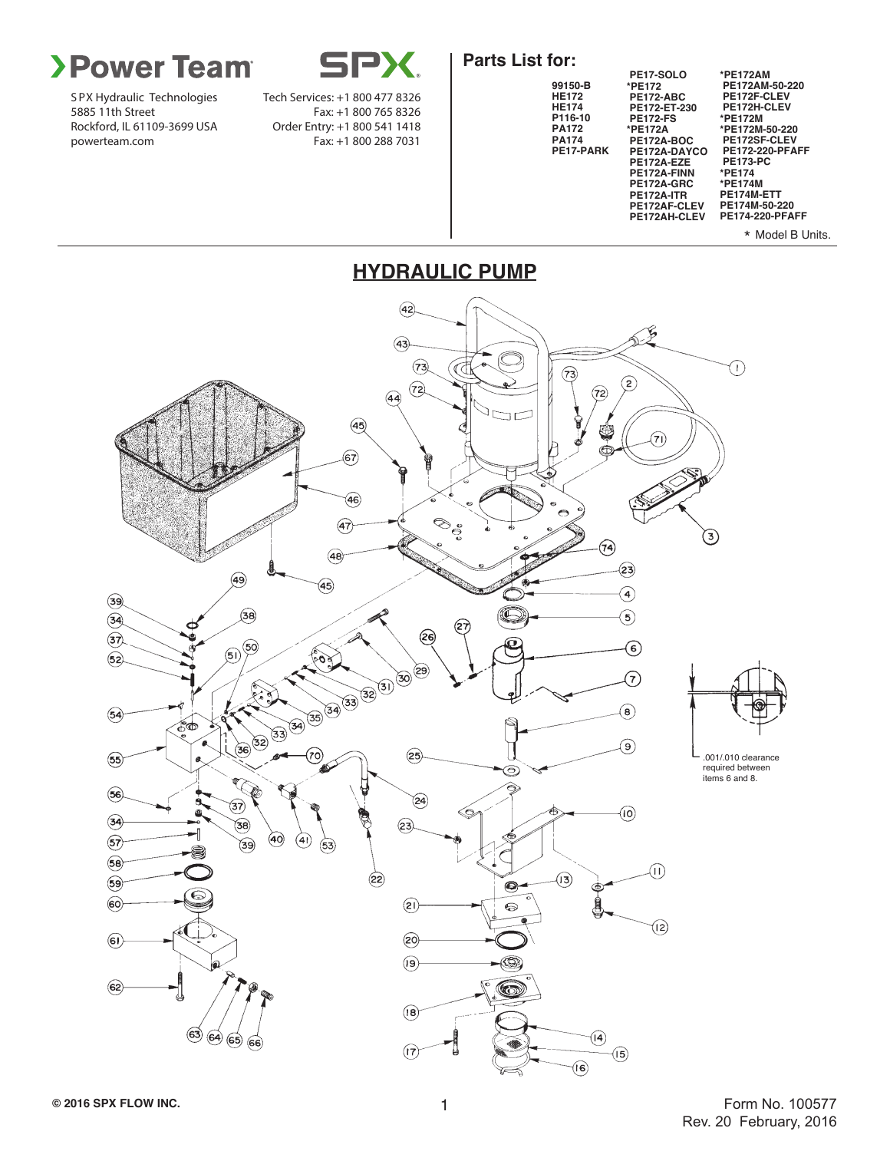

S PX Hydraulic Technologies 5885 11th Street Rockford, IL 61109-3699 USA powerteam.com

SPX

Tech Services: +1 800 477 8326 Fax: +1 800 765 8326 Order Entry: +1 800 541 1418 Fax: +1 800 288 7031

#### **Parts List for:**



 $(42)$ S  $(43)$  $(73)$ ٦. ∢∢ 73)  $\circled{z}$  $(72)$  $(72)$  $(44)$  $(45)$ ü  $\widehat{\mathbf{z}}$  $\epsilon$ ଚେ)  $\left( 46\right)$  $\otimes_{\mathring{\mathcal{C}}}$  $\widehat{A}$ ઉ) (74)  $(48)$  $\mathbf{23}$  $(49)$  $\widehat{A5}$  $\left( \widehat{\Phi }\right)$  $\widehat{\mathcal{F}}$  $\circled{38}$  $\bigcirc$  $(34)$ (27)  $\widehat{\mathcal{F}}$ (26)  $(50)^{50}$ 5 ෛ **COS**  $(52)$ 33 34 33 32 31 30 (29) F **Read**  $\left(\mathbf{8}\right)$  $(54)$ శోం  $36)$ (၁) ကြ  $(25)$ .001/.010 clearance  $\circledS$ required between  $\odot$ K items 6 and 8.  $(56)$ ¢ å  $\widehat{24}$ ্তিস) ¢ ര  $(34)$  $\mathbf{G}$ a  $(23)$ 40)  $\binom{4}{}$  $\circled{s}$  $\widehat{\mathcal{B}}$  $(53)$  $(58)$  $\textcircled{\tiny\Pi}\text{ }$  $\circled{2}$  $\mathbf{r}$  $(59)$  $\bullet$ É  $\circledast$  $(2)$  $\odot$  $($ l2 $)$  $\circledast$  $(20)$  $\left( 9\right)$  $\circled{s}$ Co  $(18)$  $\circledcirc$   $\circledcirc$   $\circledcirc$   $\circledcirc$  $\left( 4\right)$  $(17)$  $\sqrt{5}$ 

#### **HYDRAULIC PUMP**

 $\widehat{\mathbf{G}}$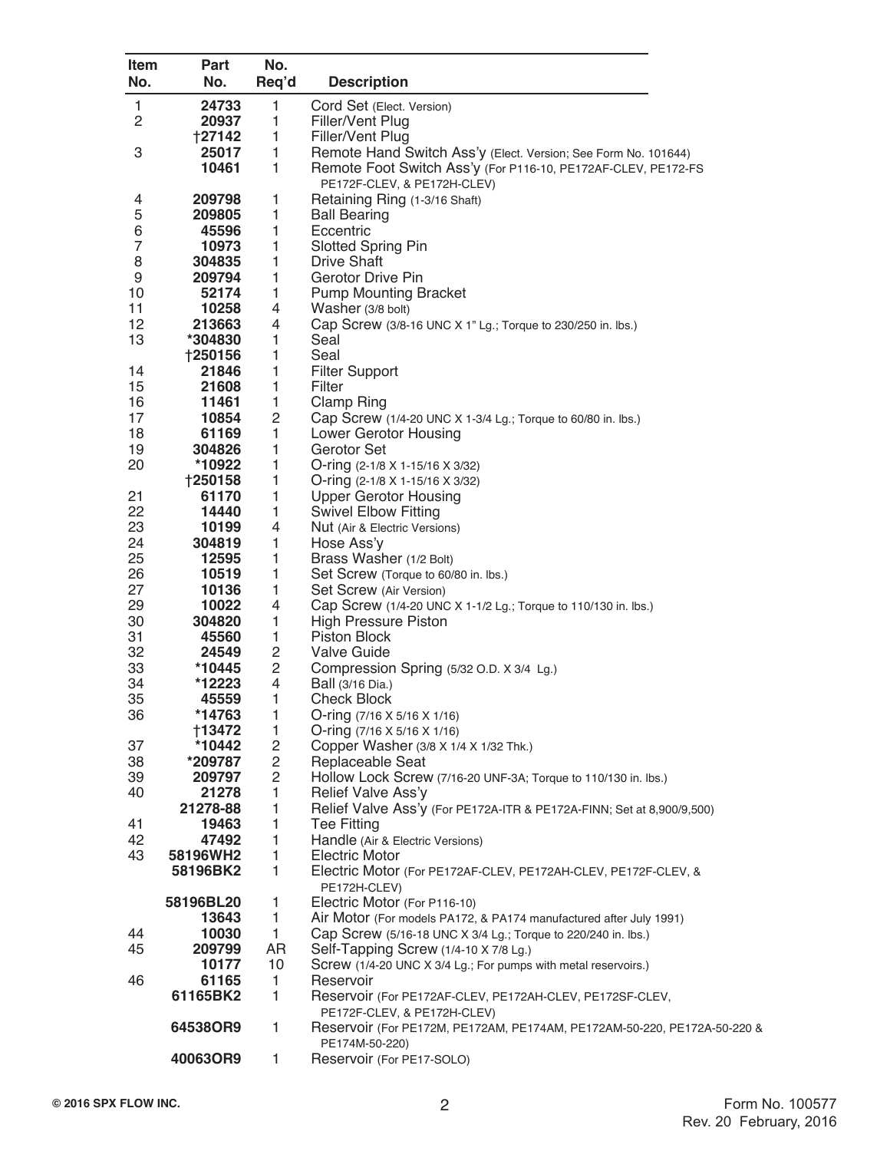| <b>Item</b>    | Part            | No.                              |                                                                                           |
|----------------|-----------------|----------------------------------|-------------------------------------------------------------------------------------------|
| No.            | No.             | Req'd                            | <b>Description</b>                                                                        |
| $\mathbf{1}$   | 24733           | $\mathbf{1}$                     | Cord Set (Elect. Version)                                                                 |
| 2              | 20937           | 1                                | Filler/Vent Plug                                                                          |
|                | +27142          | 1                                | Filler/Vent Plug                                                                          |
| 3              | 25017           | $\mathbf{1}$                     | Remote Hand Switch Ass'y (Elect. Version; See Form No. 101644)                            |
|                | 10461           | 1                                | Remote Foot Switch Ass'y (For P116-10, PE172AF-CLEV, PE172-FS                             |
|                | 209798          |                                  | PE172F-CLEV, & PE172H-CLEV)                                                               |
| 4<br>5         | 209805          | 1<br>1                           | Retaining Ring (1-3/16 Shaft)<br><b>Ball Bearing</b>                                      |
| 6              | 45596           | 1                                | Eccentric                                                                                 |
| $\overline{7}$ | 10973           | 1                                | <b>Slotted Spring Pin</b>                                                                 |
| 8              | 304835          | 1                                | Drive Shaft                                                                               |
| 9              | 209794          | 1                                | Gerotor Drive Pin                                                                         |
| 10             | 52174           | 1                                | <b>Pump Mounting Bracket</b>                                                              |
| 11             | 10258           | 4                                | Washer (3/8 bolt)                                                                         |
| 12             | 213663          | 4                                | Cap Screw (3/8-16 UNC X 1" Lg.; Torque to 230/250 in. lbs.)                               |
| 13             | *304830         | 1                                | Seal                                                                                      |
|                | <b>†250156</b>  | 1                                | Seal                                                                                      |
| 14<br>15       | 21846<br>21608  | 1<br>1                           | <b>Filter Support</b><br>Filter                                                           |
| 16             | 11461           | $\mathbf{1}$                     | <b>Clamp Ring</b>                                                                         |
| 17             | 10854           | $\mathbf 2$                      | Cap Screw (1/4-20 UNC X 1-3/4 Lg.; Torque to 60/80 in. lbs.)                              |
| 18             | 61169           | 1                                | Lower Gerotor Housing                                                                     |
| 19             | 304826          | 1                                | Gerotor Set                                                                               |
| 20             | *10922          | 1                                | O-ring $(2-1/8 \times 1-15/16 \times 3/32)$                                               |
|                | +250158         | 1                                | O-ring (2-1/8 X 1-15/16 X 3/32)                                                           |
| 21             | 61170           | 1                                | <b>Upper Gerotor Housing</b>                                                              |
| 22             | 14440           | 1                                | <b>Swivel Elbow Fitting</b>                                                               |
| 23             | 10199           | 4                                | Nut (Air & Electric Versions)                                                             |
| 24             | 304819          | 1                                | Hose Ass'y                                                                                |
| 25             | 12595           | 1                                | Brass Washer (1/2 Bolt)                                                                   |
| 26             | 10519           | 1                                | Set Screw (Torque to 60/80 in. lbs.)                                                      |
| 27<br>29       | 10136<br>10022  | 1<br>4                           | Set Screw (Air Version)<br>Cap Screw (1/4-20 UNC X 1-1/2 Lg.; Torque to 110/130 in. lbs.) |
| 30             | 304820          | 1                                | <b>High Pressure Piston</b>                                                               |
| 31             | 45560           | $\mathbf{1}$                     | Piston Block                                                                              |
| 32             | 24549           | $\overline{c}$                   | Valve Guide                                                                               |
| 33             | *10445          | $\mathbf 2$                      | Compression Spring (5/32 O.D. X 3/4 Lg.)                                                  |
| 34             | *12223          | $\overline{\mathbf{4}}$          | Ball (3/16 Dia.)                                                                          |
| 35             | 45559           | 1                                | <b>Check Block</b>                                                                        |
| 36             | *14763          | $\mathbf{1}$                     | O-ring $(7/16 \times 5/16 \times 1/16)$                                                   |
|                | +13472          | $\mathbf{1}$                     | O-ring (7/16 X 5/16 X 1/16)                                                               |
| 37             | *10442          | $\overline{c}$                   | Copper Washer (3/8 X 1/4 X 1/32 Thk.)                                                     |
| 38             | *209787         | $\overline{c}$<br>$\overline{c}$ | Replaceable Seat                                                                          |
| 39<br>40       | 209797<br>21278 | $\mathbf{1}$                     | Hollow Lock Screw (7/16-20 UNF-3A; Torque to 110/130 in. lbs.)<br>Relief Valve Ass'y      |
|                | 21278-88        | $\mathbf{1}$                     | Relief Valve Ass'y (For PE172A-ITR & PE172A-FINN; Set at 8,900/9,500)                     |
| 41             | 19463           | 1                                | <b>Tee Fitting</b>                                                                        |
| 42             | 47492           | $\mathbf{1}$                     | Handle (Air & Electric Versions)                                                          |
| 43             | 58196WH2        | $\mathbf{1}$                     | <b>Electric Motor</b>                                                                     |
|                | 58196BK2        | $\mathbf{1}$                     | Electric Motor (For PE172AF-CLEV, PE172AH-CLEV, PE172F-CLEV, &                            |
|                |                 |                                  | PE172H-CLEV)                                                                              |
|                | 58196BL20       | 1                                | Electric Motor (For P116-10)                                                              |
|                | 13643           | 1                                | Air Motor (For models PA172, & PA174 manufactured after July 1991)                        |
| 44             | 10030           | $\mathbf{1}$                     | Cap Screw (5/16-18 UNC X 3/4 Lg.; Torque to 220/240 in. lbs.)                             |
| 45             | 209799          | AR                               | Self-Tapping Screw (1/4-10 X 7/8 Lg.)                                                     |
| 46             | 10177<br>61165  | 10<br>1                          | Screw (1/4-20 UNC X 3/4 Lg.; For pumps with metal reservoirs.)<br>Reservoir               |
|                | 61165BK2        | 1                                | Reservoir (For PE172AF-CLEV, PE172AH-CLEV, PE172SF-CLEV,                                  |
|                |                 |                                  | PE172F-CLEV, & PE172H-CLEV)                                                               |
|                | 64538OR9        | $\mathbf{1}$                     | Reservoir (For PE172M, PE172AM, PE174AM, PE172AM-50-220, PE172A-50-220 &                  |
|                |                 |                                  | PE174M-50-220)                                                                            |
|                | 40063OR9        | 1                                | Reservoir (For PE17-SOLO)                                                                 |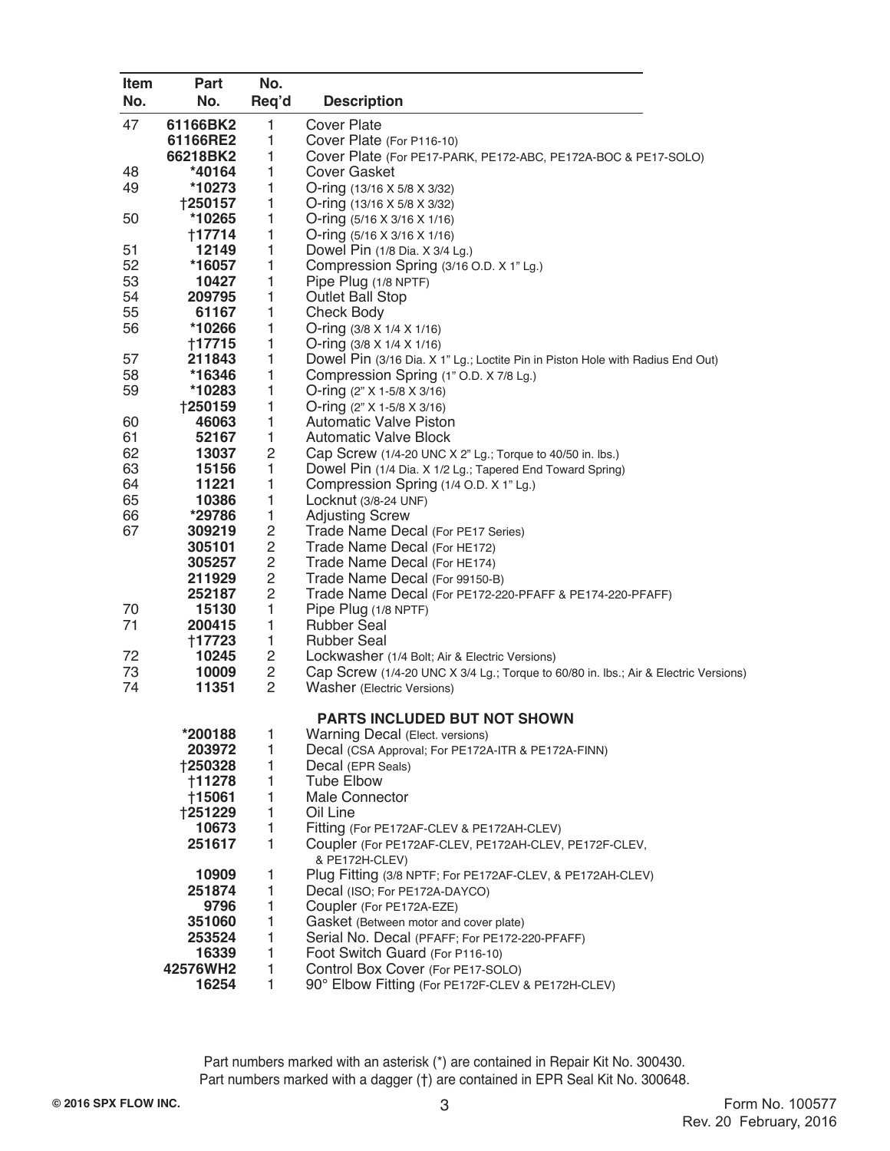| Item     | Part           | No.                          |                                                                                     |
|----------|----------------|------------------------------|-------------------------------------------------------------------------------------|
| No.      | No.            | Req'd                        | <b>Description</b>                                                                  |
| 47       | 61166BK2       | $\mathbf{1}$                 | <b>Cover Plate</b>                                                                  |
|          | 61166RE2       | 1                            | Cover Plate (For P116-10)                                                           |
|          | 66218BK2       | 1                            | Cover Plate (For PE17-PARK, PE172-ABC, PE172A-BOC & PE17-SOLO)                      |
| 48       | *40164         | $\mathbf{1}$                 | <b>Cover Gasket</b>                                                                 |
| 49       | *10273         | $\mathbf{1}$                 | O-ring (13/16 X 5/8 X 3/32)                                                         |
|          | <b>†250157</b> | 1                            | O-ring (13/16 X 5/8 X 3/32)                                                         |
| 50       | *10265         | $\mathbf{1}$                 | O-ring $(5/16 \times 3/16 \times 1/16)$                                             |
|          | †17714         | 1                            | O-ring $(5/16 \times 3/16 \times 1/16)$                                             |
| 51       | 12149          | $\mathbf{1}$                 | Dowel Pin (1/8 Dia. X 3/4 Lg.)                                                      |
| 52       | *16057         | $\mathbf{1}$                 | Compression Spring (3/16 O.D. X 1" Lg.)                                             |
| 53       | 10427          | 1                            | Pipe Plug (1/8 NPTF)                                                                |
| 54       | 209795         | $\mathbf{1}$                 | <b>Outlet Ball Stop</b>                                                             |
| 55       | 61167          | $\mathbf{1}$                 | <b>Check Body</b>                                                                   |
| 56       | *10266         | $\mathbf{1}$                 | O-ring (3/8 X 1/4 X 1/16)                                                           |
|          | †17715         | $\mathbf{1}$                 | O-ring $(3/8 \times 1/4 \times 1/16)$                                               |
| 57       | 211843         | 1                            | Dowel Pin (3/16 Dia. X 1" Lg.; Loctite Pin in Piston Hole with Radius End Out)      |
| 58       | *16346         | 1                            | Compression Spring (1" O.D. X 7/8 Lg.)                                              |
| 59       | *10283         | 1                            | O-ring $(2" X 1-5/8 X 3/16)$                                                        |
|          | <b>†250159</b> | $\mathbf{1}$                 | O-ring (2" X 1-5/8 X 3/16)                                                          |
| 60<br>61 | 46063          | $\mathbf{1}$<br>$\mathbf{1}$ | <b>Automatic Valve Piston</b>                                                       |
|          | 52167          |                              | <b>Automatic Valve Block</b>                                                        |
| 62<br>63 | 13037<br>15156 | $\mathbf{2}$<br>1            | Cap Screw (1/4-20 UNC X 2" Lg.; Torque to 40/50 in. lbs.)                           |
| 64       | 11221          | 1                            | Dowel Pin (1/4 Dia. X 1/2 Lg.; Tapered End Toward Spring)                           |
| 65       | 10386          | 1                            | Compression Spring (1/4 O.D. X 1" Lg.)<br>Locknut (3/8-24 UNF)                      |
| 66       | *29786         | $\mathbf{1}$                 | <b>Adjusting Screw</b>                                                              |
| 67       | 309219         | $\mathbf{2}$                 | Trade Name Decal (For PE17 Series)                                                  |
|          | 305101         | $\overline{c}$               | Trade Name Decal (For HE172)                                                        |
|          | 305257         | $\overline{c}$               | Trade Name Decal (For HE174)                                                        |
|          | 211929         | $\overline{c}$               | Trade Name Decal (For 99150-B)                                                      |
|          | 252187         | $\overline{c}$               | Trade Name Decal (For PE172-220-PFAFF & PE174-220-PFAFF)                            |
| 70       | 15130          | 1                            | Pipe Plug (1/8 NPTF)                                                                |
| 71       | 200415         | $\mathbf{1}$                 | <b>Rubber Seal</b>                                                                  |
|          | +17723         | $\mathbf{1}$                 | <b>Rubber Seal</b>                                                                  |
| 72       | 10245          | $\overline{c}$               | Lockwasher (1/4 Bolt; Air & Electric Versions)                                      |
| 73       | 10009          | $\mathbf{2}$                 | Cap Screw (1/4-20 UNC X 3/4 Lg.; Torque to 60/80 in. lbs.; Air & Electric Versions) |
| 74       | 11351          | 2                            | <b>Washer</b> (Electric Versions)                                                   |
|          |                |                              |                                                                                     |
|          |                |                              | PARTS INCLUDED BUT NOT SHOWN                                                        |
|          | *200188        | 1                            | <b>Warning Decal (Elect. versions)</b>                                              |
|          | 203972         | 1                            | Decal (CSA Approval; For PE172A-ITR & PE172A-FINN)                                  |
|          | †250328        | 1                            | Decal (EPR Seals)                                                                   |
|          | <b>†11278</b>  | 1                            | Tube Elbow                                                                          |
|          | <b>†15061</b>  | $\mathbf{1}$                 | Male Connector                                                                      |
|          | †251229        | $\mathbf{1}$                 | Oil Line                                                                            |
|          | 10673          | 1                            | Fitting (For PE172AF-CLEV & PE172AH-CLEV)                                           |
|          | 251617         | $\mathbf{1}$                 | Coupler (For PE172AF-CLEV, PE172AH-CLEV, PE172F-CLEV,                               |
|          | 10909          | 1                            | & PE172H-CLEV)<br>Plug Fitting (3/8 NPTF; For PE172AF-CLEV, & PE172AH-CLEV)         |
|          | 251874         | $\mathbf{1}$                 | Decal (ISO; For PE172A-DAYCO)                                                       |
|          | 9796           | 1                            | Coupler (For PE172A-EZE)                                                            |
|          | 351060         | $\mathbf{1}$                 | Gasket (Between motor and cover plate)                                              |
|          | 253524         | $\mathbf{1}$                 | Serial No. Decal (PFAFF; For PE172-220-PFAFF)                                       |
|          | 16339          | $\mathbf{1}$                 | Foot Switch Guard (For P116-10)                                                     |
|          | 42576WH2       | $\mathbf{1}$                 | Control Box Cover (For PE17-SOLO)                                                   |
|          | 16254          | 1                            | 90° Elbow Fitting (For PE172F-CLEV & PE172H-CLEV)                                   |
|          |                |                              |                                                                                     |

Part numbers marked with an asterisk (\*) are contained in Repair Kit No. 300430. Part numbers marked with a dagger (†) are contained in EPR Seal Kit No. 300648.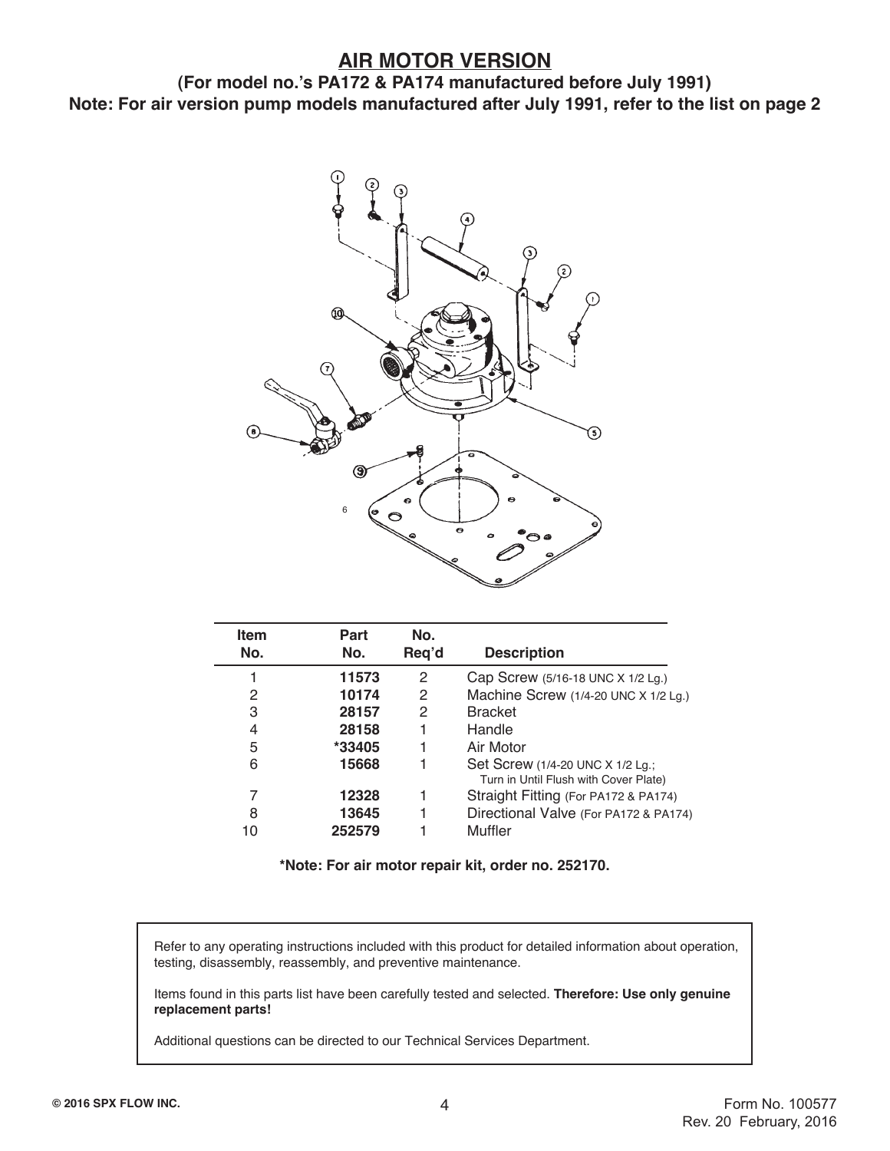#### **AIR MOTOR VERSION**

**(For model no.'s PA172 & PA174 manufactured before July 1991) Note: For air version pump models manufactured after July 1991, refer to the list on page 2**



| <b>Item</b> | Part   | No.   |                                                                           |
|-------------|--------|-------|---------------------------------------------------------------------------|
| No.         | No.    | Req'd | <b>Description</b>                                                        |
|             | 11573  | 2     | Cap Screw (5/16-18 UNC X 1/2 Lg.)                                         |
| 2           | 10174  | 2     | Machine Screw (1/4-20 UNC X 1/2 Lg.)                                      |
| 3           | 28157  | 2     | <b>Bracket</b>                                                            |
| 4           | 28158  |       | Handle                                                                    |
| 5           | *33405 |       | Air Motor                                                                 |
| 6           | 15668  |       | Set Screw (1/4-20 UNC X 1/2 Lg.;<br>Turn in Until Flush with Cover Plate) |
| 7           | 12328  |       | Straight Fitting (For PA172 & PA174)                                      |
| 8           | 13645  |       | Directional Valve (For PA172 & PA174)                                     |
| 10          | 252579 |       | <b>Muffler</b>                                                            |

**\*Note: For air motor repair kit, order no. 252170.**

 Refer to any operating instructions included with this product for detailed information about operation, testing, disassembly, reassembly, and preventive maintenance.

 Items found in this parts list have been carefully tested and selected. **Therefore: Use only genuine replacement parts!**

Additional questions can be directed to our Technical Services Department.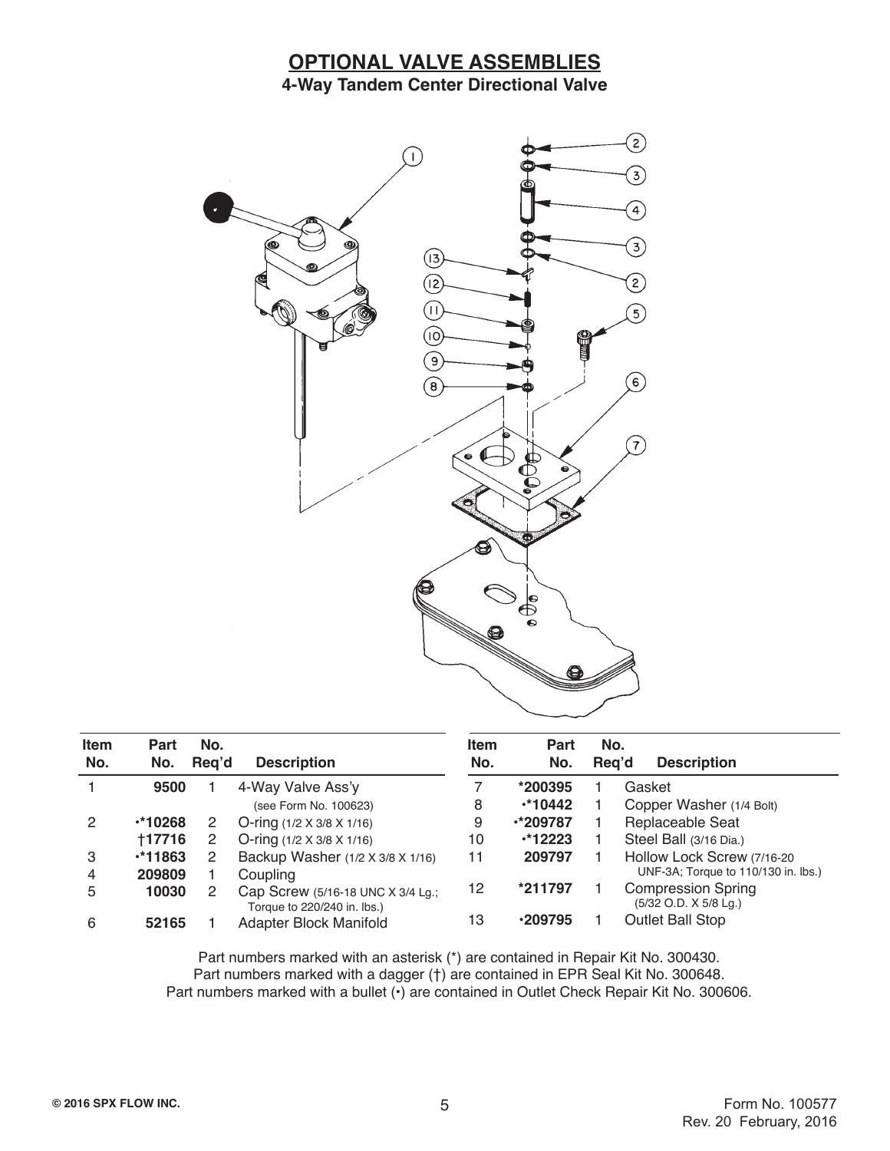#### **OPTIONAL VALVE ASSEMBLIES 4-Way Tandem Center Directional Valve**



| <b>Item</b><br>No. | Part<br>No.    | No.<br>Reg'd | <b>Description</b>                                               | <b>Item</b><br>No. | Part<br>No.     | No.<br>Rea'd |        | <b>Description</b>                                 |
|--------------------|----------------|--------------|------------------------------------------------------------------|--------------------|-----------------|--------------|--------|----------------------------------------------------|
|                    | 9500           |              | 4-Way Valve Ass'y                                                |                    | *200395         |              | Gasket |                                                    |
|                    |                |              | (see Form No. 100623)                                            | 8                  | $*10442$        |              |        | Copper Washer (1/4 Bolt)                           |
| 2                  | $\cdot$ *10268 |              | O-ring $(1/2 \times 3/8 \times 1/16)$                            | 9                  | $\cdot$ *209787 |              |        | Replaceable Seat                                   |
|                    | †17716         | 2            | O-ring $(1/2 \times 3/8 \times 1/16)$                            | 10                 | $*12223$        |              |        | Steel Ball (3/16 Dia.)                             |
| 3                  | $*11863$       |              | Backup Washer (1/2 X 3/8 X 1/16)                                 | 11                 | 209797          |              |        | Hollow Lock Screw (7/16-20                         |
| 4                  | 209809         |              | Coupling                                                         |                    |                 |              |        | UNF-3A; Torque to 110/130 in. lbs.)                |
| 5                  | 10030          |              | Cap Screw (5/16-18 UNC X 3/4 Lg.;<br>Torque to 220/240 in. lbs.) | 12                 | *211797         |              |        | <b>Compression Spring</b><br>(5/32 O.D. X 5/8 Lg.) |
| 6                  | 52165          |              | Adapter Block Manifold                                           | 13                 | .209795         |              |        | <b>Outlet Ball Stop</b>                            |

Part numbers marked with an asterisk (\*) are contained in Repair Kit No. 300430. Part numbers marked with a dagger (†) are contained in EPR Seal Kit No. 300648. Part numbers marked with a bullet ( $\cdot$ ) are contained in Outlet Check Repair Kit No. 300606.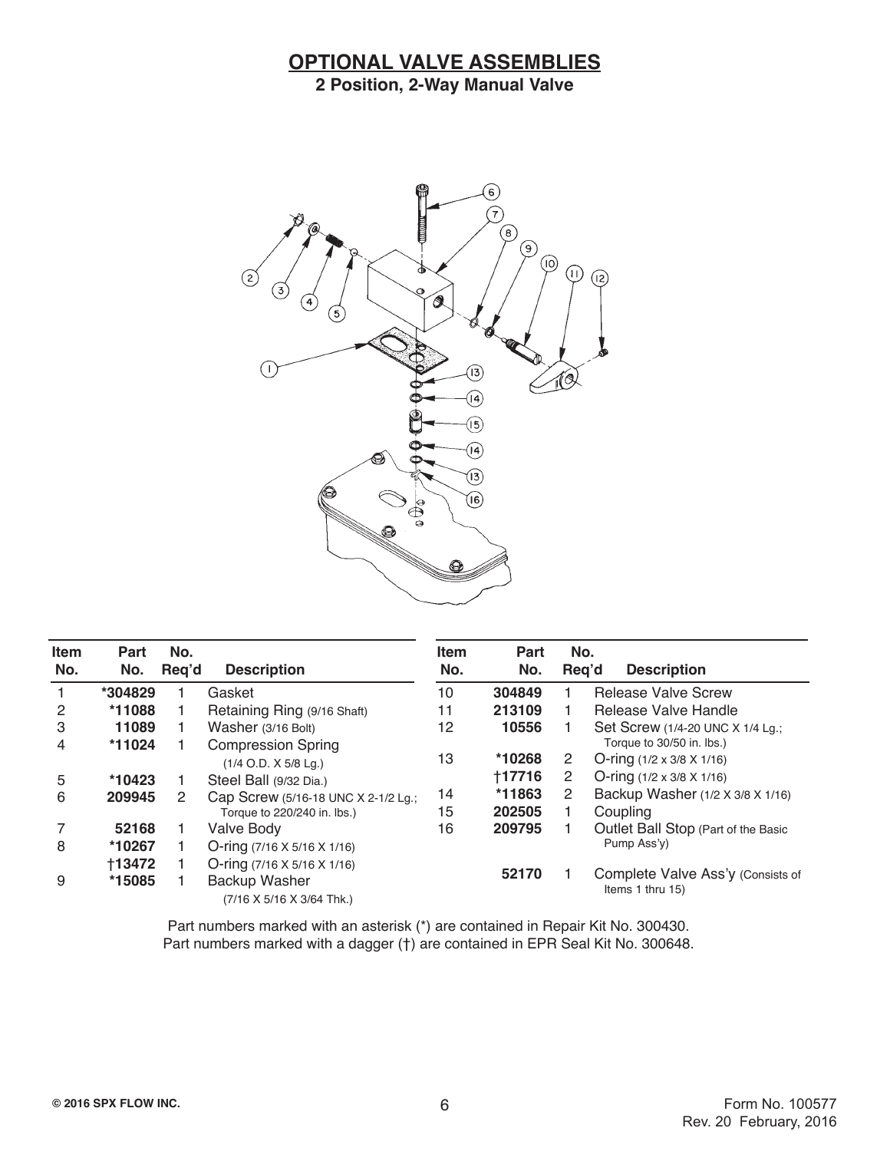#### **OPTIONAL VALVE ASSEMBLIES 2 Position, 2-Way Manual Valve**



| <b>Item</b><br>No. | Part<br>No. | No.<br>Req'd | <b>Description</b>                                  | <b>Item</b><br>No. | Part<br>No. | No.<br>Req'd | <b>Description</b>                                            |
|--------------------|-------------|--------------|-----------------------------------------------------|--------------------|-------------|--------------|---------------------------------------------------------------|
|                    | *304829     |              | Gasket                                              | 10                 | 304849      |              | <b>Release Valve Screw</b>                                    |
| 2                  | *11088      |              | Retaining Ring (9/16 Shaft)                         | 11                 | 213109      |              | Release Valve Handle                                          |
| 3                  | 11089       |              | Washer (3/16 Bolt)                                  | 12                 | 10556       |              | Set Screw (1/4-20 UNC X 1/4 Lg.;<br>Torque to 30/50 in. lbs.) |
| 4                  | *11024      |              | <b>Compression Spring</b><br>$(1/4$ O.D. X 5/8 Lg.) | 13                 | *10268      | 2            | O-ring $(1/2 \times 3/8 \times 1/16)$                         |
| 5                  | *10423      |              | Steel Ball (9/32 Dia.)                              |                    | +17716      | 2            | O-ring $(1/2 \times 3/8 \times 1/16)$                         |
| 6                  | 209945      | 2            | Cap Screw (5/16-18 UNC X 2-1/2 Lg.;                 | 14                 | *11863      | 2            | Backup Washer (1/2 X 3/8 X 1/16)                              |
|                    |             |              | Torque to 220/240 in. lbs.)                         | 15                 | 202505      |              | Coupling                                                      |
|                    | 52168       |              | Valve Body                                          | 16                 | 209795      |              | Outlet Ball Stop (Part of the Basic                           |
| 8                  | *10267      |              | O-ring $(7/16 \times 5/16 \times 1/16)$             |                    |             |              | Pump Ass'y)                                                   |
|                    | +13472      |              | O-ring $(7/16 \times 5/16 \times 1/16)$             |                    |             |              |                                                               |
| 9                  | *15085      |              | <b>Backup Washer</b><br>(7/16 X 5/16 X 3/64 Thk.)   |                    | 52170       |              | Complete Valve Ass'y (Consists of<br>Items 1 thru 15)         |

Part numbers marked with an asterisk (\*) are contained in Repair Kit No. 300430. Part numbers marked with a dagger (†) are contained in EPR Seal Kit No. 300648.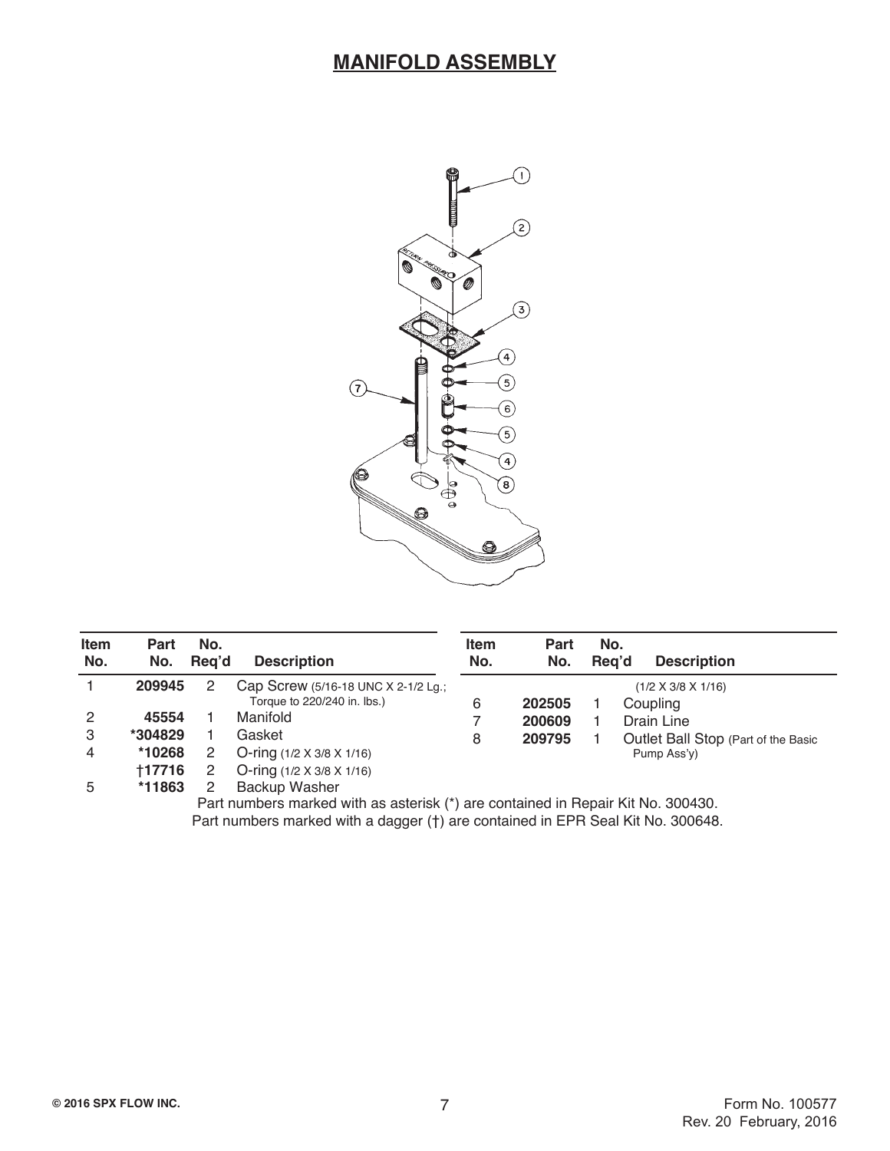#### **MANIFOLD ASSEMBLY**



| <b>Item</b><br>No. | Part<br>No. | No.<br>Rea'd | <b>Description</b>                    | <b>Item</b><br>No. | Part<br>No. | No. | Rea'd | <b>Description</b>                  |
|--------------------|-------------|--------------|---------------------------------------|--------------------|-------------|-----|-------|-------------------------------------|
|                    | 209945      | 2            | Cap Screw (5/16-18 UNC X 2-1/2 Lg.;   |                    |             |     |       | $(1/2 \times 3/8 \times 1/16)$      |
|                    |             |              | Torque to 220/240 in. lbs.)           | 6                  | 202505      |     |       | Coupling                            |
| 2                  | 45554       |              | Manifold                              |                    | 200609      |     |       | Drain Line                          |
| 3                  | *304829     |              | Gasket                                | 8                  | 209795      |     |       | Outlet Ball Stop (Part of the Basic |
| 4                  | *10268      |              | O-ring $(1/2 \times 3/8 \times 1/16)$ |                    |             |     |       | Pump Ass'y)                         |
|                    | +17716      |              | O-ring $(1/2 \times 3/8 \times 1/16)$ |                    |             |     |       |                                     |
| 5                  | *11863      |              | <b>Backup Washer</b>                  |                    |             |     |       |                                     |

Part numbers marked with as asterisk (\*) are contained in Repair Kit No. 300430. Part numbers marked with a dagger (†) are contained in EPR Seal Kit No. 300648.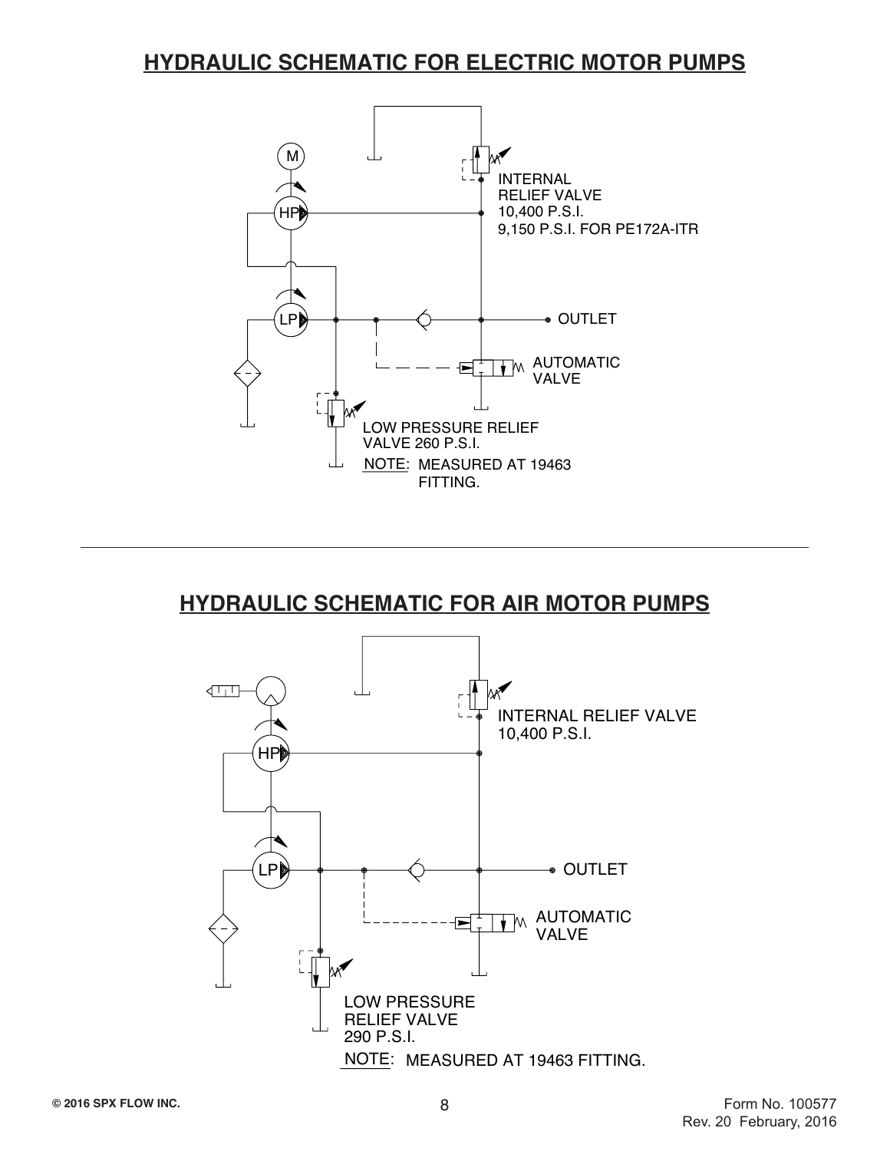#### **HYDRAULIC SCHEMATIC FOR ELECTRIC MOTOR PUMPS**



### **HYDRAULIC SCHEMATIC FOR AIR MOTOR PUMPS**

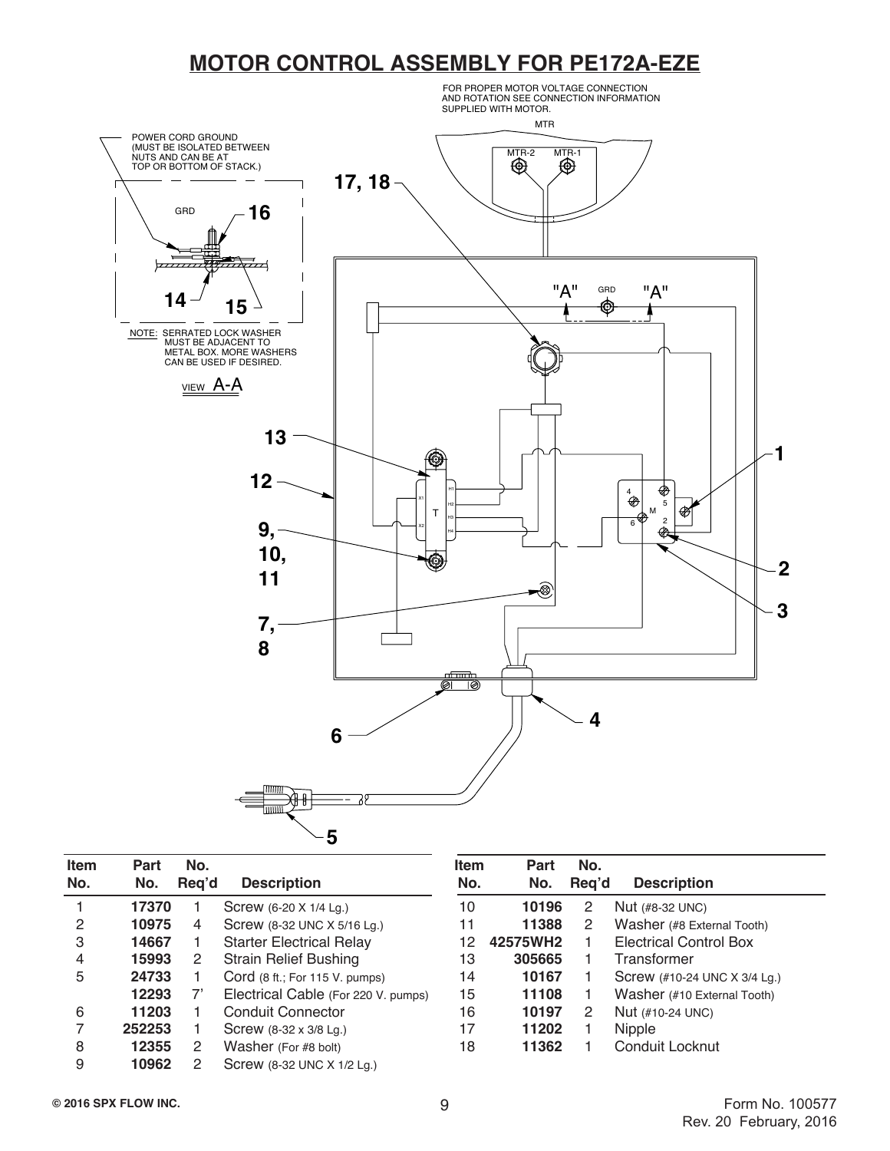### **MOTOR CONTROL ASSEMBLY FOR PE172A-EZE**



| <b>Item</b><br>No. | Part<br>No. | No.<br>Reg'd | <b>Description</b>                  | ltem<br>No. | Part<br>No. | No.<br>Reg'd | <b>Description</b>            |
|--------------------|-------------|--------------|-------------------------------------|-------------|-------------|--------------|-------------------------------|
|                    | 17370       |              | Screw (6-20 X 1/4 Lg.)              | 10          | 10196       | 2            | $Nut$ (#8-32 UNC)             |
| 2                  | 10975       | 4            | Screw (8-32 UNC X 5/16 Lg.)         | 11          | 11388       | 2            | Washer (#8 External Tooth)    |
| 3                  | 14667       |              | <b>Starter Electrical Relay</b>     | 12          | 42575WH2    |              | <b>Electrical Control Box</b> |
| 4                  | 15993       | 2            | <b>Strain Relief Bushing</b>        | 13          | 305665      |              | Transformer                   |
| 5                  | 24733       |              | Cord (8 ft.; For 115 V. pumps)      | 14          | 10167       |              | Screw (#10-24 UNC X 3/4 Lg.)  |
|                    | 12293       |              | Electrical Cable (For 220 V. pumps) | 15          | 11108       |              | Washer (#10 External Tooth)   |
| 6                  | 11203       |              | <b>Conduit Connector</b>            | 16          | 10197       | 2            | Nut (#10-24 UNC)              |
|                    | 252253      |              | Screw (8-32 x 3/8 Lg.)              | 17          | 11202       |              | Nipple                        |
| 8                  | 12355       | 2            | Washer (For #8 bolt)                | 18          | 11362       |              | Conduit Locknut               |
| 9                  | 10962       |              | Screw (8-32 UNC X 1/2 Lg.)          |             |             |              |                               |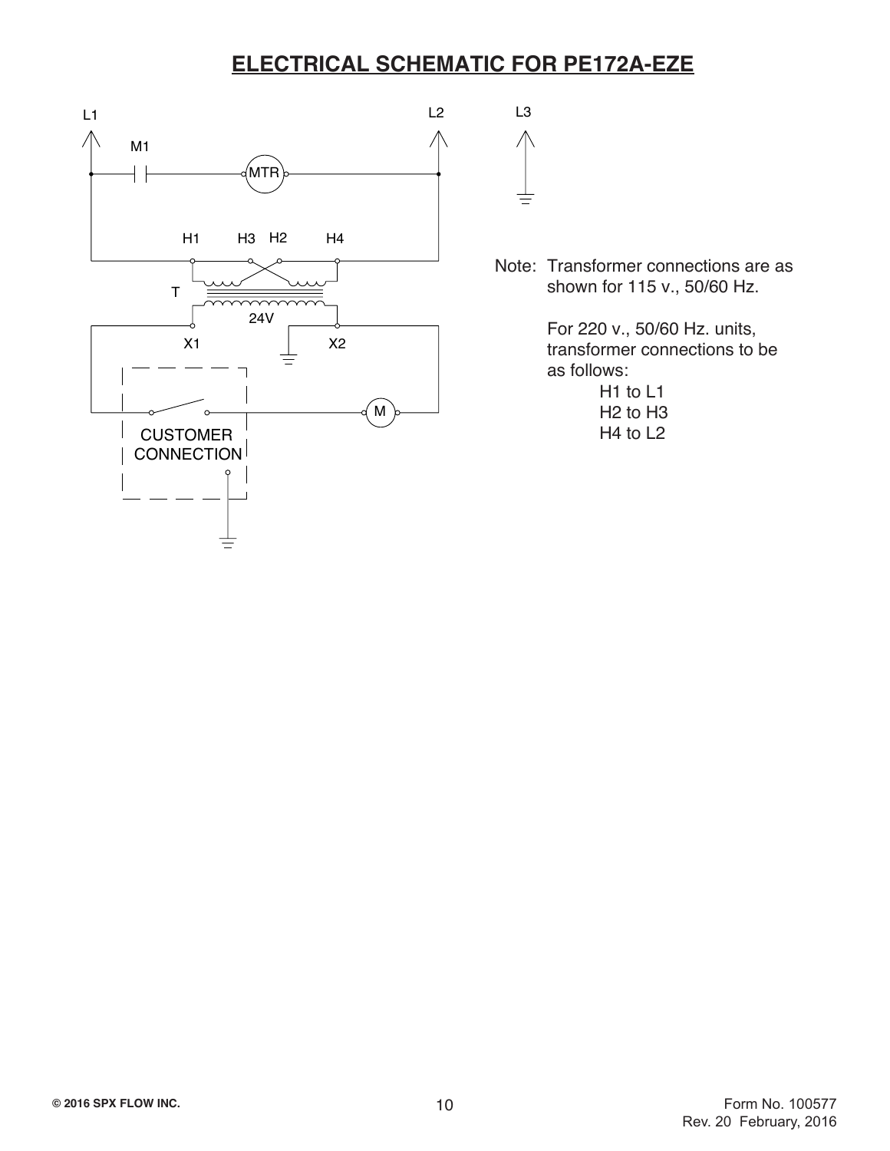## **ELECTRICAL SCHEMATIC FOR PE172A-EZE**



Note: Transformer connections are as shown for 115 v., 50/60 Hz.

> For 220 v., 50/60 Hz. units, transformer connections to be as follows:

> > H1 to L1 H2 to H3 H4 to L2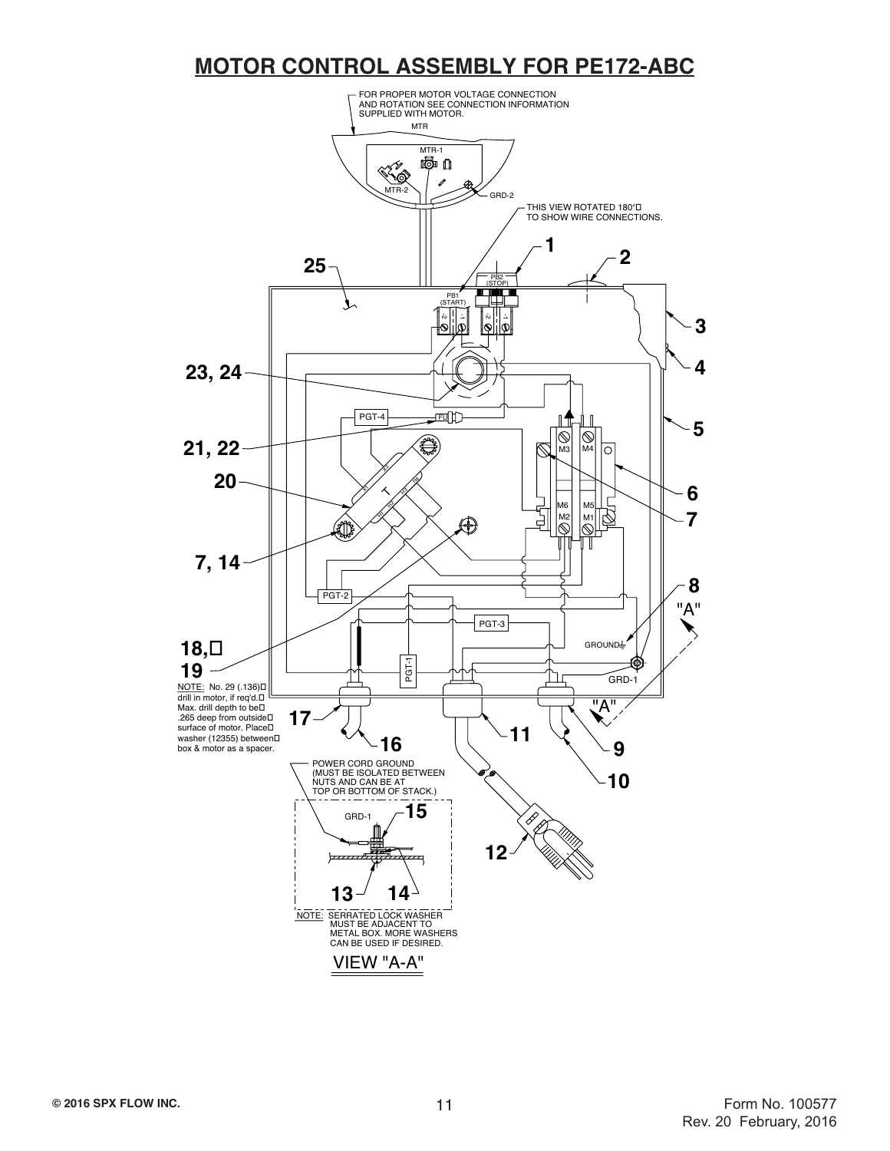## **MOTOR CONTROL ASSEMBLY FOR PE172-ABC**

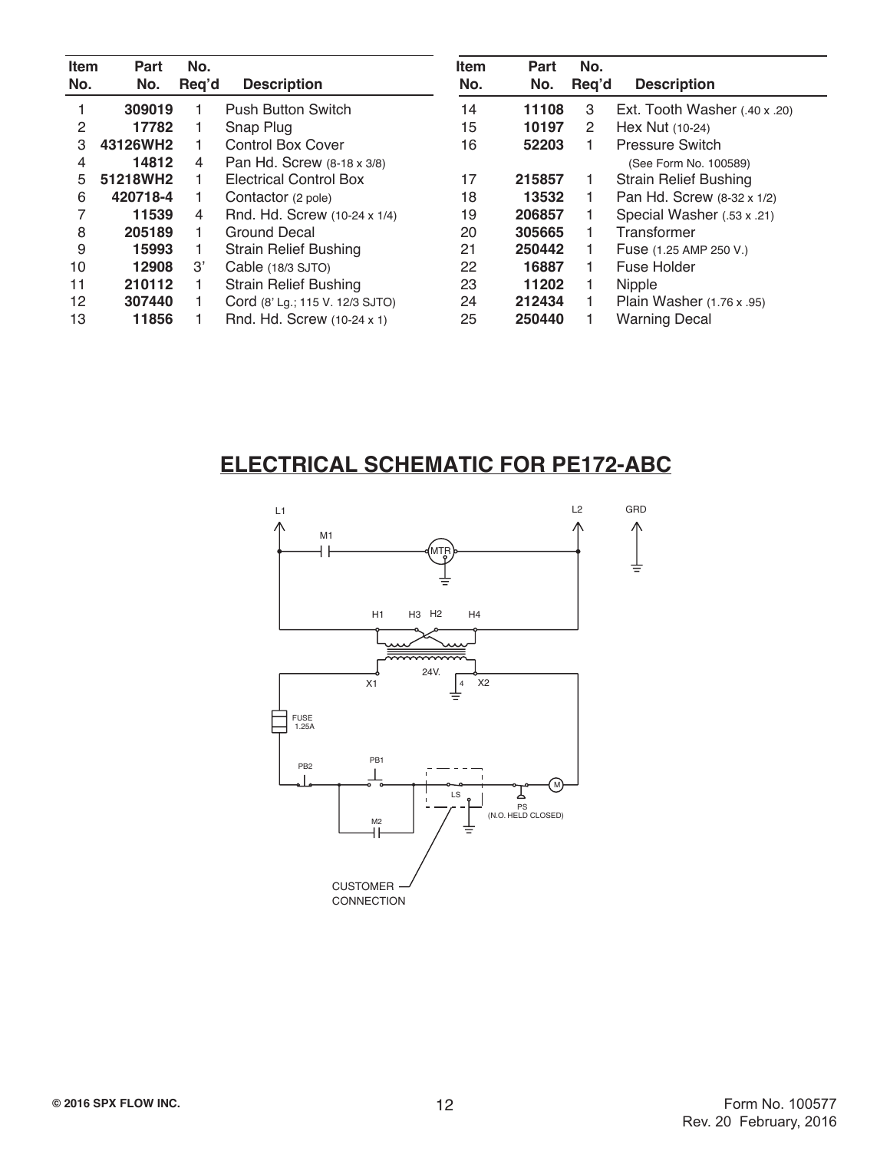| <b>Item</b><br>No. | Part<br>No. | No.<br>Reg'd   | <b>Description</b>              | <b>Item</b><br>No. | Part<br>No. | No.<br>Req'd | <b>Description</b>                   |
|--------------------|-------------|----------------|---------------------------------|--------------------|-------------|--------------|--------------------------------------|
|                    | 309019      |                | <b>Push Button Switch</b>       | 14                 | 11108       | 3            | Ext. Tooth Washer $(.40 \times .20)$ |
| 2                  | 17782       |                | Snap Plug                       | 15                 | 10197       | 2            | Hex Nut (10-24)                      |
| З                  | 43126WH2    |                | <b>Control Box Cover</b>        | 16                 | 52203       |              | <b>Pressure Switch</b>               |
| 4                  | 14812       | 4              | Pan Hd. Screw (8-18 x 3/8)      |                    |             |              | (See Form No. 100589)                |
| 5.                 | 51218WH2    |                | <b>Electrical Control Box</b>   | 17                 | 215857      |              | <b>Strain Relief Bushing</b>         |
| 6                  | 420718-4    |                | Contactor (2 pole)              | 18                 | 13532       |              | Pan Hd. Screw (8-32 x 1/2)           |
|                    | 11539       | 4              | Rnd. Hd. Screw (10-24 x 1/4)    | 19                 | 206857      |              | Special Washer (.53 x .21)           |
| 8                  | 205189      |                | Ground Decal                    | 20                 | 305665      |              | Transformer                          |
| 9                  | 15993       |                | <b>Strain Relief Bushing</b>    | 21                 | 250442      |              | Fuse (1.25 AMP 250 V.)               |
| 10                 | 12908       | $\mathcal{B}'$ | Cable (18/3 SJTO)               | 22                 | 16887       |              | Fuse Holder                          |
| 11                 | 210112      |                | <b>Strain Relief Bushing</b>    | 23                 | 11202       |              | <b>Nipple</b>                        |
| 12                 | 307440      |                | Cord (8' Lg.; 115 V. 12/3 SJTO) | 24                 | 212434      |              | Plain Washer (1.76 x .95)            |
| 13                 | 11856       |                | Rnd. Hd. Screw (10-24 x 1)      | 25                 | 250440      |              | <b>Warning Decal</b>                 |

# **ELECTRICAL SCHEMATIC FOR PE172-ABC**

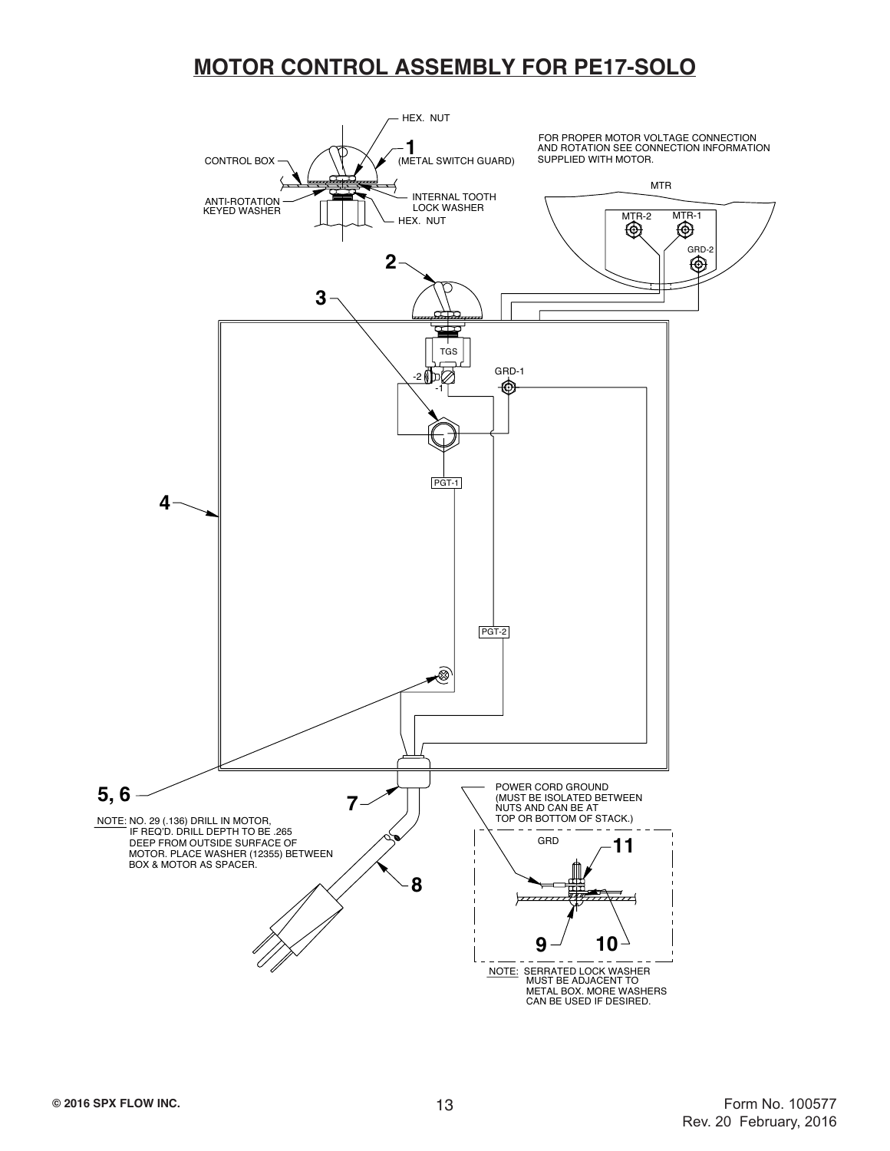### **MOTOR CONTROL ASSEMBLY FOR PE17-SOLO**